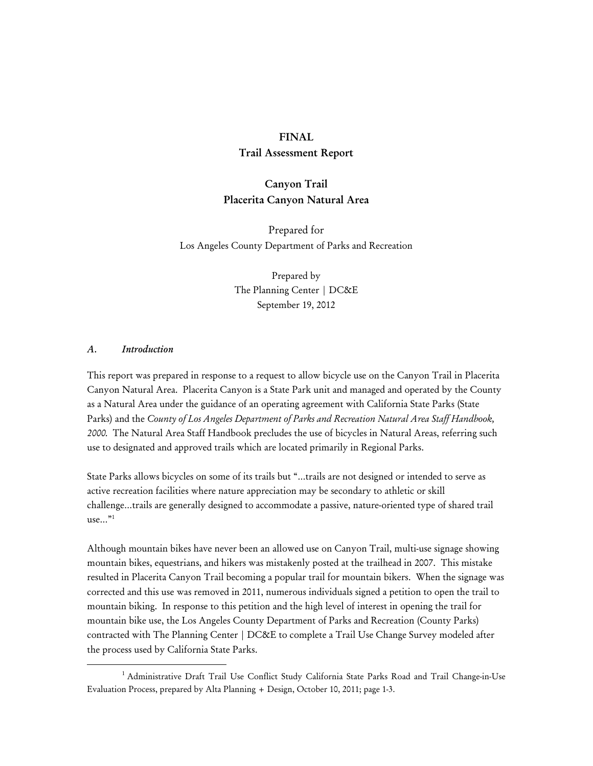#### **FINAL**

## **Trail Assessment Report**

# **Canyon Trail Placerita Canyon Natural Area**

Prepared for Los Angeles County Department of Parks and Recreation

> Prepared by The Planning Center | DC&E September 19, 2012

#### *A. Introduction*

This report was prepared in response to a request to allow bicycle use on the Canyon Trail in Placerita Canyon Natural Area. Placerita Canyon is a State Park unit and managed and operated by the County as a Natural Area under the guidance of an operating agreement with California State Parks (State Parks) and the *County of Los Angeles Department of Parks and Recreation Natural Area Staff Handbook, 2000.* The Natural Area Staff Handbook precludes the use of bicycles in Natural Areas, referring such use to designated and approved trails which are located primarily in Regional Parks.

State Parks allows bicycles on some of its trails but "…trails are not designed or intended to serve as active recreation facilities where nature appreciation may be secondary to athletic or skill challenge…trails are generally designed to accommodate a passive, nature-oriented type of shared trail use $\ldots$ "<sup>1</sup>

Although mountain bikes have never been an allowed use on Canyon Trail, multi-use signage showing mountain bikes, equestrians, and hikers was mistakenly posted at the trailhead in 2007. This mistake resulted in Placerita Canyon Trail becoming a popular trail for mountain bikers. When the signage was corrected and this use was removed in 2011, numerous individuals signed a petition to open the trail to mountain biking. In response to this petition and the high level of interest in opening the trail for mountain bike use, the Los Angeles County Department of Parks and Recreation (County Parks) contracted with The Planning Center | DC&E to complete a Trail Use Change Survey modeled after the process used by California State Parks.

<sup>1</sup> <sup>1</sup> Administrative Draft Trail Use Conflict Study California State Parks Road and Trail Change-in-Use Evaluation Process, prepared by Alta Planning + Design, October 10, 2011; page 1-3.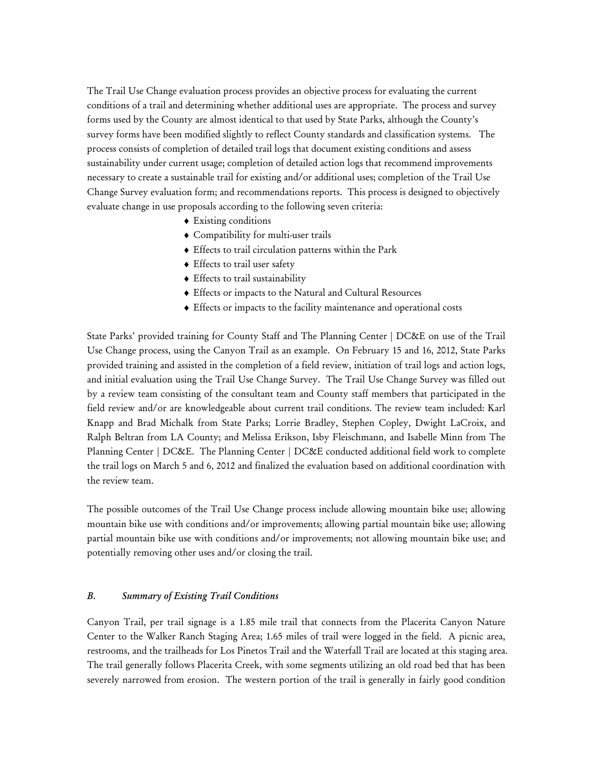The Trail Use Change evaluation process provides an objective process for evaluating the current conditions of a trail and determining whether additional uses are appropriate. The process and survey forms used by the County are almost identical to that used by State Parks, although the County's survey forms have been modified slightly to reflect County standards and classification systems. The process consists of completion of detailed trail logs that document existing conditions and assess sustainability under current usage; completion of detailed action logs that recommend improvements necessary to create a sustainable trail for existing and/or additional uses; completion of the Trail Use Change Survey evaluation form; and recommendations reports. This process is designed to objectively evaluate change in use proposals according to the following seven criteria:

- ♦ Existing conditions
- ♦ Compatibility for multi-user trails
- ♦ Effects to trail circulation patterns within the Park
- ♦ Effects to trail user safety
- ♦ Effects to trail sustainability
- ♦ Effects or impacts to the Natural and Cultural Resources
- ♦ Effects or impacts to the facility maintenance and operational costs

State Parks' provided training for County Staff and The Planning Center | DC&E on use of the Trail Use Change process, using the Canyon Trail as an example. On February 15 and 16, 2012, State Parks provided training and assisted in the completion of a field review, initiation of trail logs and action logs, and initial evaluation using the Trail Use Change Survey. The Trail Use Change Survey was filled out by a review team consisting of the consultant team and County staff members that participated in the field review and/or are knowledgeable about current trail conditions. The review team included: Karl Knapp and Brad Michalk from State Parks; Lorrie Bradley, Stephen Copley, Dwight LaCroix, and Ralph Beltran from LA County; and Melissa Erikson, Isby Fleischmann, and Isabelle Minn from The Planning Center | DC&E. The Planning Center | DC&E conducted additional field work to complete the trail logs on March 5 and 6, 2012 and finalized the evaluation based on additional coordination with the review team.

The possible outcomes of the Trail Use Change process include allowing mountain bike use; allowing mountain bike use with conditions and/or improvements; allowing partial mountain bike use; allowing partial mountain bike use with conditions and/or improvements; not allowing mountain bike use; and potentially removing other uses and/or closing the trail.

# *B. Summary of Existing Trail Conditions*

Canyon Trail, per trail signage is a 1.85 mile trail that connects from the Placerita Canyon Nature Center to the Walker Ranch Staging Area; 1.65 miles of trail were logged in the field. A picnic area, restrooms, and the trailheads for Los Pinetos Trail and the Waterfall Trail are located at this staging area. The trail generally follows Placerita Creek, with some segments utilizing an old road bed that has been severely narrowed from erosion. The western portion of the trail is generally in fairly good condition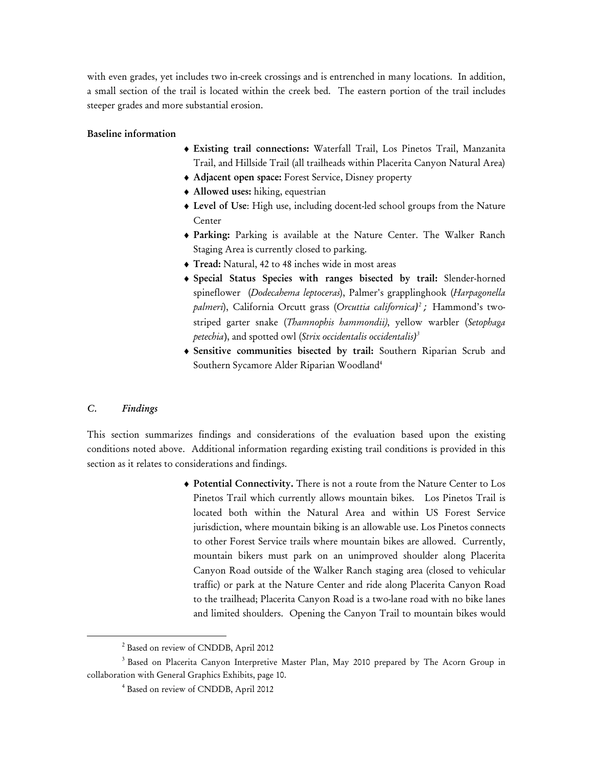with even grades, yet includes two in-creek crossings and is entrenched in many locations. In addition, a small section of the trail is located within the creek bed. The eastern portion of the trail includes steeper grades and more substantial erosion.

## **Baseline information**

- ♦ **Existing trail connections:** Waterfall Trail, Los Pinetos Trail, Manzanita Trail, and Hillside Trail (all trailheads within Placerita Canyon Natural Area)
- ♦ **Adjacent open space:** Forest Service, Disney property
- ♦ **Allowed uses:** hiking, equestrian
- ♦ **Level of Use**: High use, including docent-led school groups from the Nature Center
- ♦ **Parking:** Parking is available at the Nature Center. The Walker Ranch Staging Area is currently closed to parking.
- ♦ **Tread:** Natural, 42 to 48 inches wide in most areas
- ♦ **Special Status Species with ranges bisected by trail:** Slender-horned spineflower (*Dodecahema leptoceras*), Palmer's grapplinghook (*Harpagonella palmeri*), California Orcutt grass (*Orcuttia californica) 2 ;* Hammond's twostriped garter snake (*Thamnophis hammondii)*, yellow warbler (*Setophaga petechia*), and spotted owl (*Strix occidentalis occidentalis) 3*
- ♦ **Sensitive communities bisected by trail:** Southern Riparian Scrub and Southern Sycamore Alder Riparian Woodland4

#### *C. Findings*

This section summarizes findings and considerations of the evaluation based upon the existing conditions noted above. Additional information regarding existing trail conditions is provided in this section as it relates to considerations and findings.

> ♦ **Potential Connectivity.** There is not a route from the Nature Center to Los Pinetos Trail which currently allows mountain bikes. Los Pinetos Trail is located both within the Natural Area and within US Forest Service jurisdiction, where mountain biking is an allowable use. Los Pinetos connects to other Forest Service trails where mountain bikes are allowed. Currently, mountain bikers must park on an unimproved shoulder along Placerita Canyon Road outside of the Walker Ranch staging area (closed to vehicular traffic) or park at the Nature Center and ride along Placerita Canyon Road to the trailhead; Placerita Canyon Road is a two-lane road with no bike lanes and limited shoulders. Opening the Canyon Trail to mountain bikes would

 $\frac{1}{2}$ <sup>2</sup> Based on review of CNDDB, April 2012

<sup>&</sup>lt;sup>3</sup> Based on Placerita Canyon Interpretive Master Plan, May 2010 prepared by The Acorn Group in collaboration with General Graphics Exhibits, page 10.

<sup>4</sup> Based on review of CNDDB, April 2012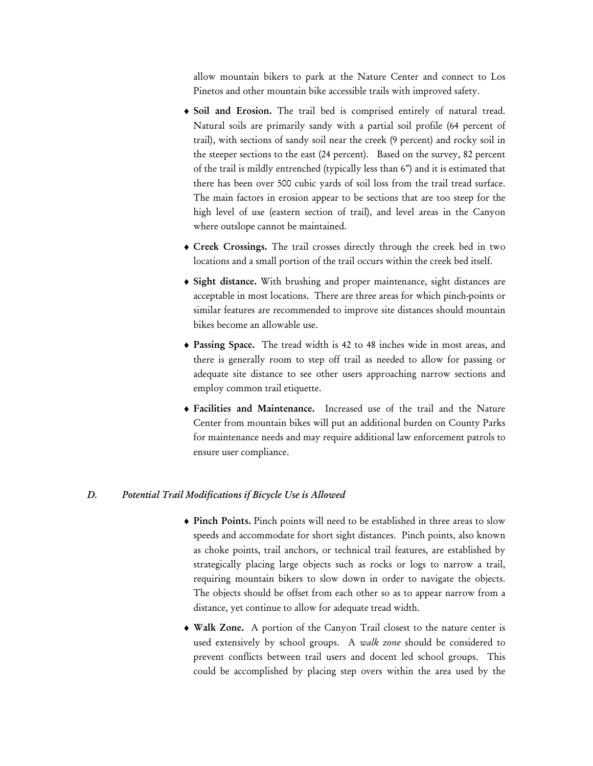allow mountain bikers to park at the Nature Center and connect to Los Pinetos and other mountain bike accessible trails with improved safety.

- ♦ **Soil and Erosion.** The trail bed is comprised entirely of natural tread. Natural soils are primarily sandy with a partial soil profile (64 percent of trail), with sections of sandy soil near the creek (9 percent) and rocky soil in the steeper sections to the east (24 percent). Based on the survey, 82 percent of the trail is mildly entrenched (typically less than 6") and it is estimated that there has been over 500 cubic yards of soil loss from the trail tread surface. The main factors in erosion appear to be sections that are too steep for the high level of use (eastern section of trail), and level areas in the Canyon where outslope cannot be maintained.
- ♦ **Creek Crossings.** The trail crosses directly through the creek bed in two locations and a small portion of the trail occurs within the creek bed itself.
- ♦ **Sight distance.** With brushing and proper maintenance, sight distances are acceptable in most locations. There are three areas for which pinch-points or similar features are recommended to improve site distances should mountain bikes become an allowable use.
- ♦ **Passing Space.** The tread width is 42 to 48 inches wide in most areas, and there is generally room to step off trail as needed to allow for passing or adequate site distance to see other users approaching narrow sections and employ common trail etiquette.
- ♦ **Facilities and Maintenance.** Increased use of the trail and the Nature Center from mountain bikes will put an additional burden on County Parks for maintenance needs and may require additional law enforcement patrols to ensure user compliance.

#### *D. Potential Trail Modifications if Bicycle Use is Allowed*

- ♦ **Pinch Points.** Pinch points will need to be established in three areas to slow speeds and accommodate for short sight distances. Pinch points, also known as choke points, trail anchors, or technical trail features, are established by strategically placing large objects such as rocks or logs to narrow a trail, requiring mountain bikers to slow down in order to navigate the objects. The objects should be offset from each other so as to appear narrow from a distance, yet continue to allow for adequate tread width.
- ♦ **Walk Zone.** A portion of the Canyon Trail closest to the nature center is used extensively by school groups. A *walk zone* should be considered to prevent conflicts between trail users and docent led school groups. This could be accomplished by placing step overs within the area used by the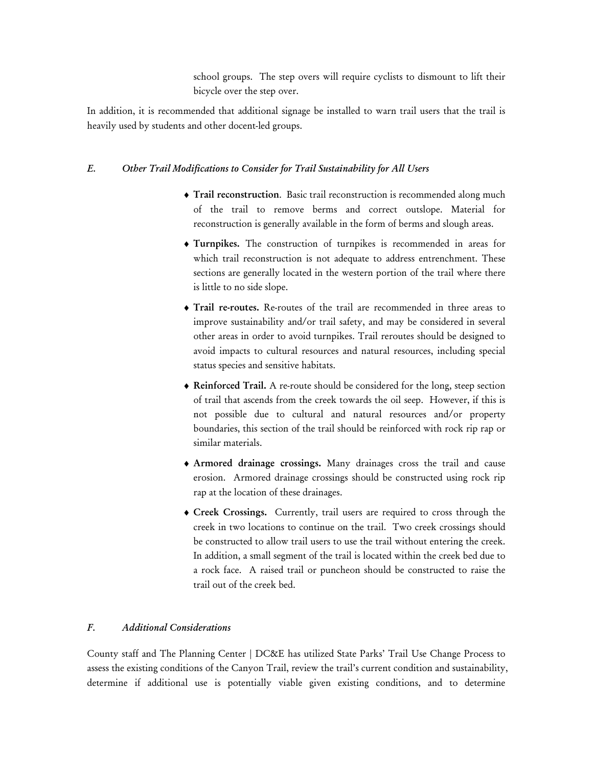school groups. The step overs will require cyclists to dismount to lift their bicycle over the step over.

In addition, it is recommended that additional signage be installed to warn trail users that the trail is heavily used by students and other docent-led groups.

# *E. Other Trail Modifications to Consider for Trail Sustainability for All Users*

- ♦ **Trail reconstruction**. Basic trail reconstruction is recommended along much of the trail to remove berms and correct outslope. Material for reconstruction is generally available in the form of berms and slough areas.
- ♦ **Turnpikes.** The construction of turnpikes is recommended in areas for which trail reconstruction is not adequate to address entrenchment. These sections are generally located in the western portion of the trail where there is little to no side slope.
- ♦ **Trail re-routes.** Re-routes of the trail are recommended in three areas to improve sustainability and/or trail safety, and may be considered in several other areas in order to avoid turnpikes. Trail reroutes should be designed to avoid impacts to cultural resources and natural resources, including special status species and sensitive habitats.
- ♦ **Reinforced Trail.** A re-route should be considered for the long, steep section of trail that ascends from the creek towards the oil seep. However, if this is not possible due to cultural and natural resources and/or property boundaries, this section of the trail should be reinforced with rock rip rap or similar materials.
- ♦ **Armored drainage crossings.** Many drainages cross the trail and cause erosion. Armored drainage crossings should be constructed using rock rip rap at the location of these drainages.
- ♦ **Creek Crossings.** Currently, trail users are required to cross through the creek in two locations to continue on the trail. Two creek crossings should be constructed to allow trail users to use the trail without entering the creek. In addition, a small segment of the trail is located within the creek bed due to a rock face. A raised trail or puncheon should be constructed to raise the trail out of the creek bed.

## *F. Additional Considerations*

County staff and The Planning Center | DC&E has utilized State Parks' Trail Use Change Process to assess the existing conditions of the Canyon Trail, review the trail's current condition and sustainability, determine if additional use is potentially viable given existing conditions, and to determine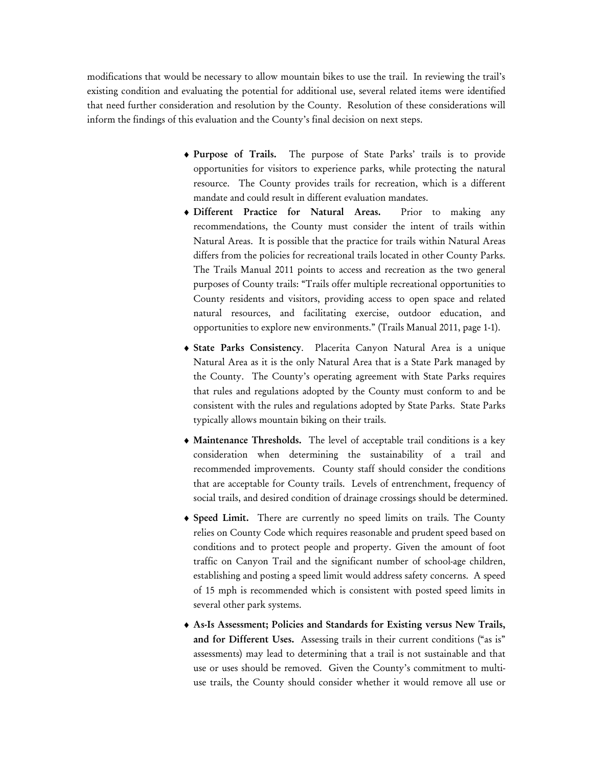modifications that would be necessary to allow mountain bikes to use the trail. In reviewing the trail's existing condition and evaluating the potential for additional use, several related items were identified that need further consideration and resolution by the County. Resolution of these considerations will inform the findings of this evaluation and the County's final decision on next steps.

- ♦ **Purpose of Trails.** The purpose of State Parks' trails is to provide opportunities for visitors to experience parks, while protecting the natural resource. The County provides trails for recreation, which is a different mandate and could result in different evaluation mandates.
- ♦ **Different Practice for Natural Areas.** Prior to making any recommendations, the County must consider the intent of trails within Natural Areas. It is possible that the practice for trails within Natural Areas differs from the policies for recreational trails located in other County Parks. The Trails Manual 2011 points to access and recreation as the two general purposes of County trails: "Trails offer multiple recreational opportunities to County residents and visitors, providing access to open space and related natural resources, and facilitating exercise, outdoor education, and opportunities to explore new environments." (Trails Manual 2011, page 1-1).
- ♦ **State Parks Consistency**. Placerita Canyon Natural Area is a unique Natural Area as it is the only Natural Area that is a State Park managed by the County. The County's operating agreement with State Parks requires that rules and regulations adopted by the County must conform to and be consistent with the rules and regulations adopted by State Parks. State Parks typically allows mountain biking on their trails.
- ♦ **Maintenance Thresholds.** The level of acceptable trail conditions is a key consideration when determining the sustainability of a trail and recommended improvements. County staff should consider the conditions that are acceptable for County trails. Levels of entrenchment, frequency of social trails, and desired condition of drainage crossings should be determined.
- ♦ **Speed Limit.** There are currently no speed limits on trails. The County relies on County Code which requires reasonable and prudent speed based on conditions and to protect people and property. Given the amount of foot traffic on Canyon Trail and the significant number of school-age children, establishing and posting a speed limit would address safety concerns. A speed of 15 mph is recommended which is consistent with posted speed limits in several other park systems.
- ♦ **As-Is Assessment; Policies and Standards for Existing versus New Trails, and for Different Uses.** Assessing trails in their current conditions ("as is" assessments) may lead to determining that a trail is not sustainable and that use or uses should be removed. Given the County's commitment to multiuse trails, the County should consider whether it would remove all use or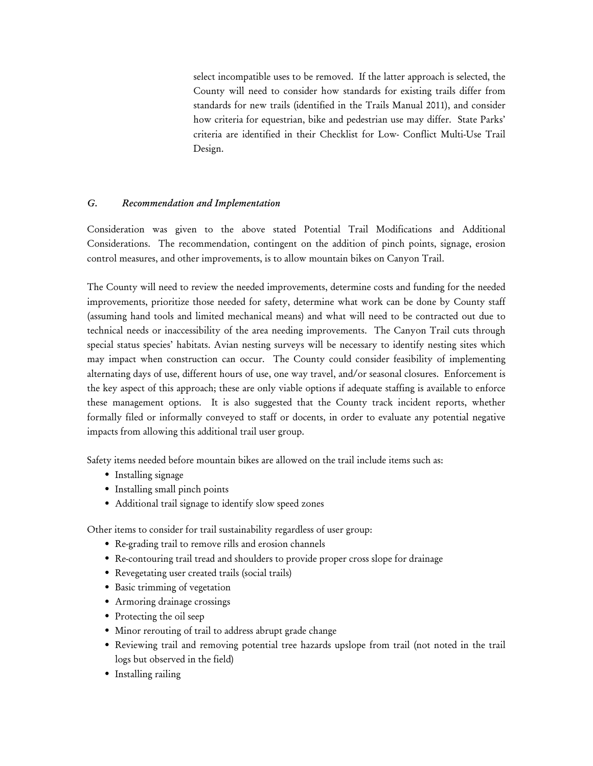select incompatible uses to be removed. If the latter approach is selected, the County will need to consider how standards for existing trails differ from standards for new trails (identified in the Trails Manual 2011), and consider how criteria for equestrian, bike and pedestrian use may differ. State Parks' criteria are identified in their Checklist for Low- Conflict Multi-Use Trail Design.

# *G. Recommendation and Implementation*

Consideration was given to the above stated Potential Trail Modifications and Additional Considerations. The recommendation, contingent on the addition of pinch points, signage, erosion control measures, and other improvements, is to allow mountain bikes on Canyon Trail.

The County will need to review the needed improvements, determine costs and funding for the needed improvements, prioritize those needed for safety, determine what work can be done by County staff (assuming hand tools and limited mechanical means) and what will need to be contracted out due to technical needs or inaccessibility of the area needing improvements. The Canyon Trail cuts through special status species' habitats. Avian nesting surveys will be necessary to identify nesting sites which may impact when construction can occur. The County could consider feasibility of implementing alternating days of use, different hours of use, one way travel, and/or seasonal closures. Enforcement is the key aspect of this approach; these are only viable options if adequate staffing is available to enforce these management options. It is also suggested that the County track incident reports, whether formally filed or informally conveyed to staff or docents, in order to evaluate any potential negative impacts from allowing this additional trail user group.

Safety items needed before mountain bikes are allowed on the trail include items such as:

- Installing signage
- Installing small pinch points
- Additional trail signage to identify slow speed zones

Other items to consider for trail sustainability regardless of user group:

- Re-grading trail to remove rills and erosion channels
- Re-contouring trail tread and shoulders to provide proper cross slope for drainage
- Revegetating user created trails (social trails)
- Basic trimming of vegetation
- Armoring drainage crossings
- Protecting the oil seep
- Minor rerouting of trail to address abrupt grade change
- Reviewing trail and removing potential tree hazards upslope from trail (not noted in the trail logs but observed in the field)
- Installing railing